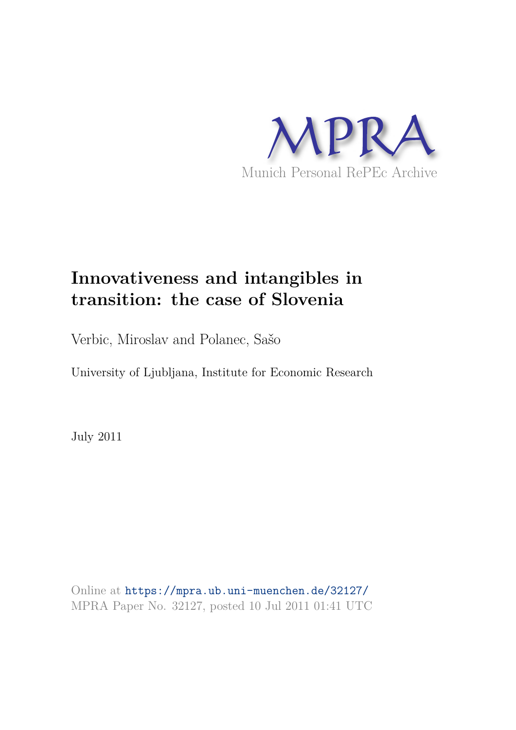

# **Innovativeness and intangibles in transition: the case of Slovenia**

Verbic, Miroslav and Polanec, Sašo

University of Ljubljana, Institute for Economic Research

July 2011

Online at https://mpra.ub.uni-muenchen.de/32127/ MPRA Paper No. 32127, posted 10 Jul 2011 01:41 UTC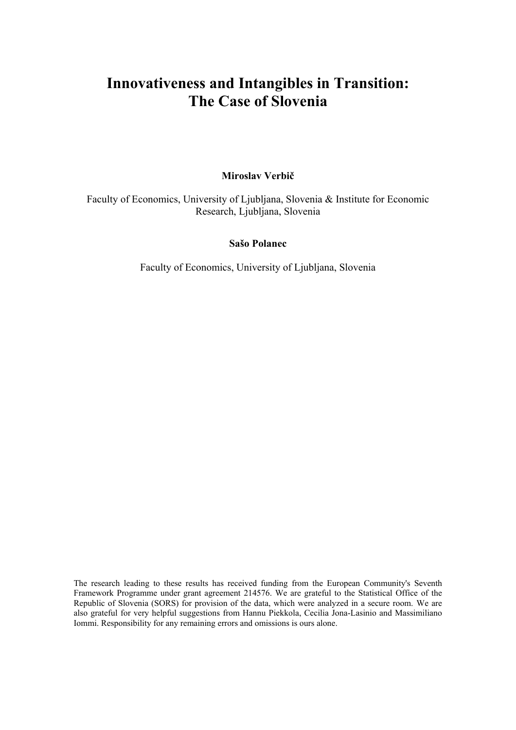## **Innovativeness and Intangibles in Transition: The Case of Slovenia**

#### **Miroslav Verbič**

Faculty of Economics, University of Ljubljana, Slovenia & Institute for Economic Research, Ljubljana, Slovenia

#### **Sašo Polanec**

Faculty of Economics, University of Ljubljana, Slovenia

The research leading to these results has received funding from the European Community's Seventh Framework Programme under grant agreement 214576. We are grateful to the Statistical Office of the Republic of Slovenia (SORS) for provision of the data, which were analyzed in a secure room. We are also grateful for very helpful suggestions from Hannu Piekkola, Cecilia Jona-Lasinio and Massimiliano Iommi. Responsibility for any remaining errors and omissions is ours alone.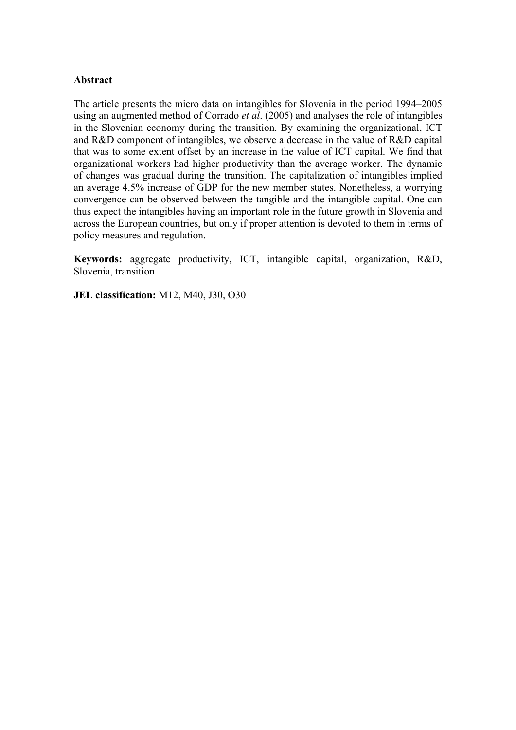#### **Abstract**

The article presents the micro data on intangibles for Slovenia in the period 1994–2005 using an augmented method of Corrado *et al*. (2005) and analyses the role of intangibles in the Slovenian economy during the transition. By examining the organizational, ICT and R&D component of intangibles, we observe a decrease in the value of R&D capital that was to some extent offset by an increase in the value of ICT capital. We find that organizational workers had higher productivity than the average worker. The dynamic of changes was gradual during the transition. The capitalization of intangibles implied an average 4.5% increase of GDP for the new member states. Nonetheless, a worrying convergence can be observed between the tangible and the intangible capital. One can thus expect the intangibles having an important role in the future growth in Slovenia and across the European countries, but only if proper attention is devoted to them in terms of policy measures and regulation.

**Keywords:** aggregate productivity, ICT, intangible capital, organization, R&D, Slovenia, transition

**JEL classification:** M12, M40, J30, O30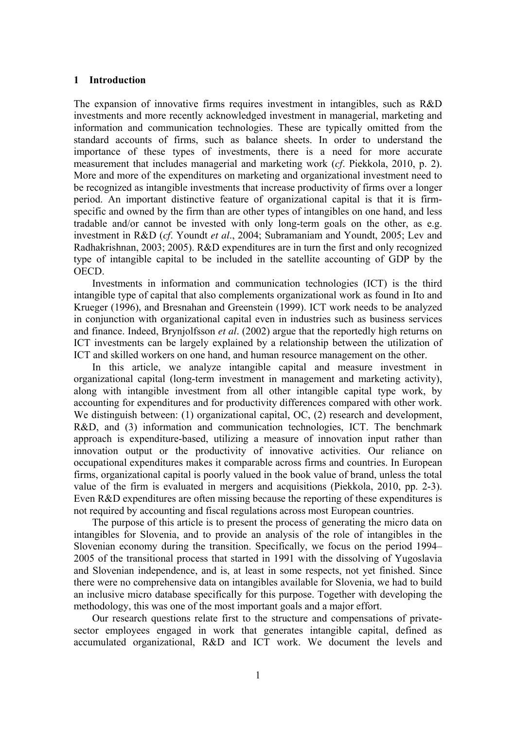#### **1 Introduction**

The expansion of innovative firms requires investment in intangibles, such as R&D investments and more recently acknowledged investment in managerial, marketing and information and communication technologies. These are typically omitted from the standard accounts of firms, such as balance sheets. In order to understand the importance of these types of investments, there is a need for more accurate measurement that includes managerial and marketing work (*cf*. Piekkola, 2010, p. 2). More and more of the expenditures on marketing and organizational investment need to be recognized as intangible investments that increase productivity of firms over a longer period. An important distinctive feature of organizational capital is that it is firmspecific and owned by the firm than are other types of intangibles on one hand, and less tradable and/or cannot be invested with only long-term goals on the other, as e.g. investment in R&D (*cf*. Youndt *et al*., 2004; Subramaniam and Youndt, 2005; Lev and Radhakrishnan, 2003; 2005). R&D expenditures are in turn the first and only recognized type of intangible capital to be included in the satellite accounting of GDP by the OECD.

 Investments in information and communication technologies (ICT) is the third intangible type of capital that also complements organizational work as found in Ito and Krueger (1996), and Bresnahan and Greenstein (1999). ICT work needs to be analyzed in conjunction with organizational capital even in industries such as business services and finance. Indeed, Brynjolfsson *et al*. (2002) argue that the reportedly high returns on ICT investments can be largely explained by a relationship between the utilization of ICT and skilled workers on one hand, and human resource management on the other.

 In this article, we analyze intangible capital and measure investment in organizational capital (long-term investment in management and marketing activity), along with intangible investment from all other intangible capital type work, by accounting for expenditures and for productivity differences compared with other work. We distinguish between: (1) organizational capital, OC, (2) research and development, R&D, and (3) information and communication technologies, ICT. The benchmark approach is expenditure-based, utilizing a measure of innovation input rather than innovation output or the productivity of innovative activities. Our reliance on occupational expenditures makes it comparable across firms and countries. In European firms, organizational capital is poorly valued in the book value of brand, unless the total value of the firm is evaluated in mergers and acquisitions (Piekkola, 2010, pp. 2-3). Even R&D expenditures are often missing because the reporting of these expenditures is not required by accounting and fiscal regulations across most European countries.

 The purpose of this article is to present the process of generating the micro data on intangibles for Slovenia, and to provide an analysis of the role of intangibles in the Slovenian economy during the transition. Specifically, we focus on the period 1994– 2005 of the transitional process that started in 1991 with the dissolving of Yugoslavia and Slovenian independence, and is, at least in some respects, not yet finished. Since there were no comprehensive data on intangibles available for Slovenia, we had to build an inclusive micro database specifically for this purpose. Together with developing the methodology, this was one of the most important goals and a major effort.

 Our research questions relate first to the structure and compensations of privatesector employees engaged in work that generates intangible capital, defined as accumulated organizational, R&D and ICT work. We document the levels and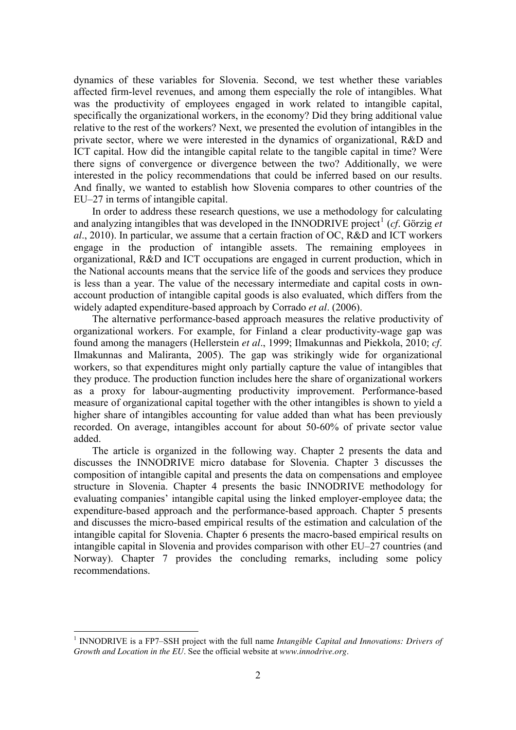dynamics of these variables for Slovenia. Second, we test whether these variables affected firm-level revenues, and among them especially the role of intangibles. What was the productivity of employees engaged in work related to intangible capital, specifically the organizational workers, in the economy? Did they bring additional value relative to the rest of the workers? Next, we presented the evolution of intangibles in the private sector, where we were interested in the dynamics of organizational, R&D and ICT capital. How did the intangible capital relate to the tangible capital in time? Were there signs of convergence or divergence between the two? Additionally, we were interested in the policy recommendations that could be inferred based on our results. And finally, we wanted to establish how Slovenia compares to other countries of the EU–27 in terms of intangible capital.

 In order to address these research questions, we use a methodology for calculating and analyzing intangibles that was developed in the INNODRIVE project<sup>[1](#page-4-0)</sup> (cf. Görzig et *al*., 2010). In particular, we assume that a certain fraction of OC, R&D and ICT workers engage in the production of intangible assets. The remaining employees in organizational, R&D and ICT occupations are engaged in current production, which in the National accounts means that the service life of the goods and services they produce is less than a year. The value of the necessary intermediate and capital costs in ownaccount production of intangible capital goods is also evaluated, which differs from the widely adapted expenditure-based approach by Corrado *et al*. (2006).

 The alternative performance-based approach measures the relative productivity of organizational workers. For example, for Finland a clear productivity-wage gap was found among the managers (Hellerstein *et al*., 1999; Ilmakunnas and Piekkola, 2010; *cf*. Ilmakunnas and Maliranta, 2005). The gap was strikingly wide for organizational workers, so that expenditures might only partially capture the value of intangibles that they produce. The production function includes here the share of organizational workers as a proxy for labour-augmenting productivity improvement. Performance-based measure of organizational capital together with the other intangibles is shown to yield a higher share of intangibles accounting for value added than what has been previously recorded. On average, intangibles account for about 50-60% of private sector value added.

 The article is organized in the following way. Chapter 2 presents the data and discusses the INNODRIVE micro database for Slovenia. Chapter 3 discusses the composition of intangible capital and presents the data on compensations and employee structure in Slovenia. Chapter 4 presents the basic INNODRIVE methodology for evaluating companies' intangible capital using the linked employer-employee data; the expenditure-based approach and the performance-based approach. Chapter 5 presents and discusses the micro-based empirical results of the estimation and calculation of the intangible capital for Slovenia. Chapter 6 presents the macro-based empirical results on intangible capital in Slovenia and provides comparison with other EU–27 countries (and Norway). Chapter 7 provides the concluding remarks, including some policy recommendations.

-

<span id="page-4-0"></span><sup>&</sup>lt;sup>1</sup> INNODRIVE is a FP7–SSH project with the full name *Intangible Capital and Innovations: Drivers of Growth and Location in the EU*. See the official website at *www.innodrive.org*.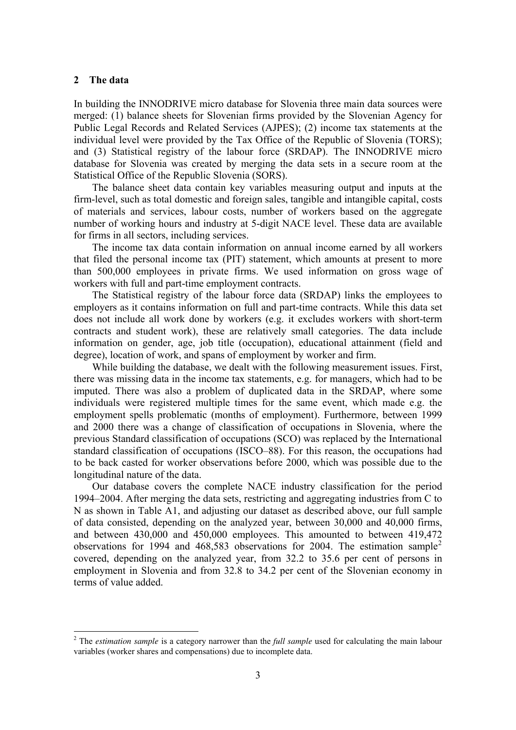#### **2 The data**

-

In building the INNODRIVE micro database for Slovenia three main data sources were merged: (1) balance sheets for Slovenian firms provided by the Slovenian Agency for Public Legal Records and Related Services (AJPES); (2) income tax statements at the individual level were provided by the Tax Office of the Republic of Slovenia (TORS); and (3) Statistical registry of the labour force (SRDAP). The INNODRIVE micro database for Slovenia was created by merging the data sets in a secure room at the Statistical Office of the Republic Slovenia (SORS).

 The balance sheet data contain key variables measuring output and inputs at the firm-level, such as total domestic and foreign sales, tangible and intangible capital, costs of materials and services, labour costs, number of workers based on the aggregate number of working hours and industry at 5-digit NACE level. These data are available for firms in all sectors, including services.

 The income tax data contain information on annual income earned by all workers that filed the personal income tax (PIT) statement, which amounts at present to more than 500,000 employees in private firms. We used information on gross wage of workers with full and part-time employment contracts.

 The Statistical registry of the labour force data (SRDAP) links the employees to employers as it contains information on full and part-time contracts. While this data set does not include all work done by workers (e.g. it excludes workers with short-term contracts and student work), these are relatively small categories. The data include information on gender, age, job title (occupation), educational attainment (field and degree), location of work, and spans of employment by worker and firm.

 While building the database, we dealt with the following measurement issues. First, there was missing data in the income tax statements, e.g. for managers, which had to be imputed. There was also a problem of duplicated data in the SRDAP, where some individuals were registered multiple times for the same event, which made e.g. the employment spells problematic (months of employment). Furthermore, between 1999 and 2000 there was a change of classification of occupations in Slovenia, where the previous Standard classification of occupations (SCO) was replaced by the International standard classification of occupations (ISCO–88). For this reason, the occupations had to be back casted for worker observations before 2000, which was possible due to the longitudinal nature of the data.

 Our database covers the complete NACE industry classification for the period 1994–2004. After merging the data sets, restricting and aggregating industries from C to N as shown in Table A1, and adjusting our dataset as described above, our full sample of data consisted, depending on the analyzed year, between 30,000 and 40,000 firms, and between 430,000 and 450,000 employees. This amounted to between 419,472 observations for 1994 and 468,583 observations for [2](#page-5-0)004. The estimation sample<sup>2</sup> covered, depending on the analyzed year, from 32.2 to 35.6 per cent of persons in employment in Slovenia and from 32.8 to 34.2 per cent of the Slovenian economy in terms of value added.

<span id="page-5-0"></span><sup>&</sup>lt;sup>2</sup> The *estimation sample* is a category narrower than the *full sample* used for calculating the main labour variables (worker shares and compensations) due to incomplete data.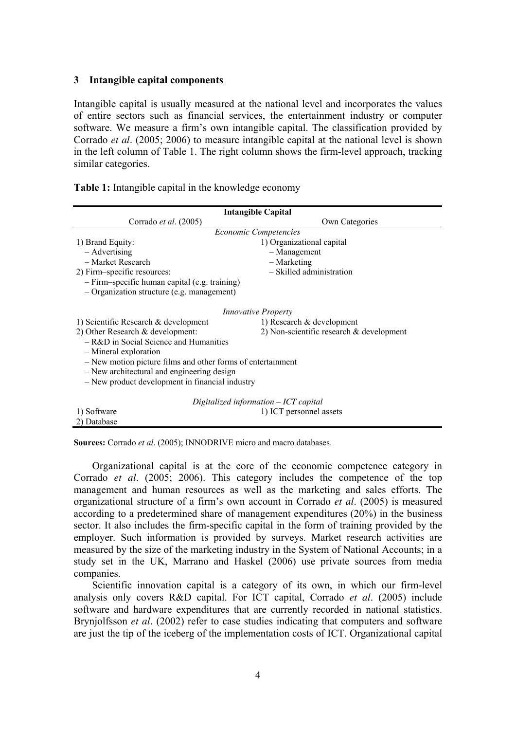#### **3 Intangible capital components**

Intangible capital is usually measured at the national level and incorporates the values of entire sectors such as financial services, the entertainment industry or computer software. We measure a firm's own intangible capital. The classification provided by Corrado *et al*. (2005; 2006) to measure intangible capital at the national level is shown in the left column of Table 1. The right column shows the firm-level approach, tracking similar categories.

|  |  | <b>Table 1:</b> Intangible capital in the knowledge economy |  |
|--|--|-------------------------------------------------------------|--|
|  |  |                                                             |  |

| <b>Intangible Capital</b>                                   |                                             |  |  |  |
|-------------------------------------------------------------|---------------------------------------------|--|--|--|
| Corrado et al. (2005)                                       | Own Categories                              |  |  |  |
|                                                             | <b>Economic Competencies</b>                |  |  |  |
| 1) Brand Equity:                                            | 1) Organizational capital                   |  |  |  |
| – Advertising                                               | $-$ Management                              |  |  |  |
| - Market Research                                           | - Marketing                                 |  |  |  |
| 2) Firm-specific resources:                                 | - Skilled administration                    |  |  |  |
| - Firm-specific human capital (e.g. training)               |                                             |  |  |  |
| $-$ Organization structure (e.g. management)                |                                             |  |  |  |
|                                                             | <i>Innovative Property</i>                  |  |  |  |
| 1) Scientific Research & development                        | 1) Research $&$ development                 |  |  |  |
| 2) Other Research $&$ development:                          | 2) Non-scientific research $\&$ development |  |  |  |
| $-R&D$ in Social Science and Humanities                     |                                             |  |  |  |
| - Mineral exploration                                       |                                             |  |  |  |
| - New motion picture films and other forms of entertainment |                                             |  |  |  |
| - New architectural and engineering design                  |                                             |  |  |  |
| - New product development in financial industry             |                                             |  |  |  |
| Digitalized information - ICT capital                       |                                             |  |  |  |
| 1) Software                                                 | 1) ICT personnel assets                     |  |  |  |
| 2) Database                                                 |                                             |  |  |  |

**Sources:** Corrado *et al*. (2005); INNODRIVE micro and macro databases.

 Organizational capital is at the core of the economic competence category in Corrado *et al*. (2005; 2006). This category includes the competence of the top management and human resources as well as the marketing and sales efforts. The organizational structure of a firm's own account in Corrado *et al*. (2005) is measured according to a predetermined share of management expenditures (20%) in the business sector. It also includes the firm-specific capital in the form of training provided by the employer. Such information is provided by surveys. Market research activities are measured by the size of the marketing industry in the System of National Accounts; in a study set in the UK, Marrano and Haskel (2006) use private sources from media companies.

 Scientific innovation capital is a category of its own, in which our firm-level analysis only covers R&D capital. For ICT capital, Corrado *et al*. (2005) include software and hardware expenditures that are currently recorded in national statistics. Brynjolfsson *et al*. (2002) refer to case studies indicating that computers and software are just the tip of the iceberg of the implementation costs of ICT. Organizational capital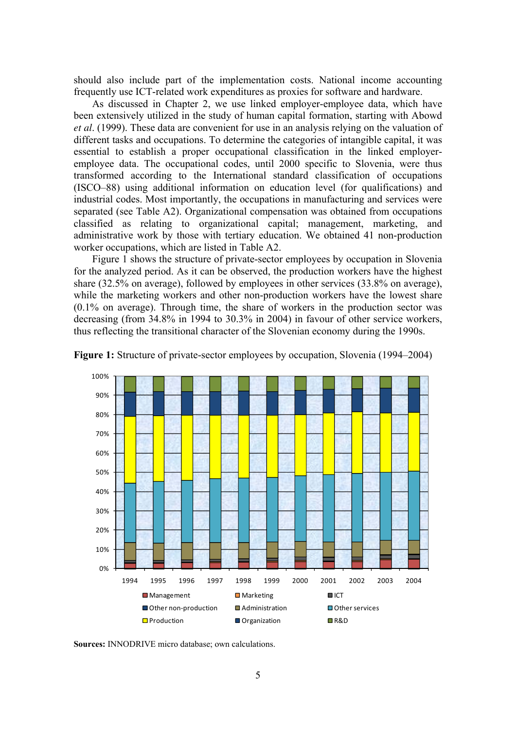should also include part of the implementation costs. National income accounting frequently use ICT-related work expenditures as proxies for software and hardware.

 As discussed in Chapter 2, we use linked employer-employee data, which have been extensively utilized in the study of human capital formation, starting with Abowd *et al*. (1999). These data are convenient for use in an analysis relying on the valuation of different tasks and occupations. To determine the categories of intangible capital, it was essential to establish a proper occupational classification in the linked employeremployee data. The occupational codes, until 2000 specific to Slovenia, were thus transformed according to the International standard classification of occupations (ISCO–88) using additional information on education level (for qualifications) and industrial codes. Most importantly, the occupations in manufacturing and services were separated (see Table A2). Organizational compensation was obtained from occupations classified as relating to organizational capital; management, marketing, and administrative work by those with tertiary education. We obtained 41 non-production worker occupations, which are listed in Table A2.

 Figure 1 shows the structure of private-sector employees by occupation in Slovenia for the analyzed period. As it can be observed, the production workers have the highest share (32.5% on average), followed by employees in other services (33.8% on average), while the marketing workers and other non-production workers have the lowest share (0.1% on average). Through time, the share of workers in the production sector was decreasing (from 34.8% in 1994 to 30.3% in 2004) in favour of other service workers, thus reflecting the transitional character of the Slovenian economy during the 1990s.



**Figure 1:** Structure of private-sector employees by occupation, Slovenia (1994–2004)

**Sources:** INNODRIVE micro database; own calculations.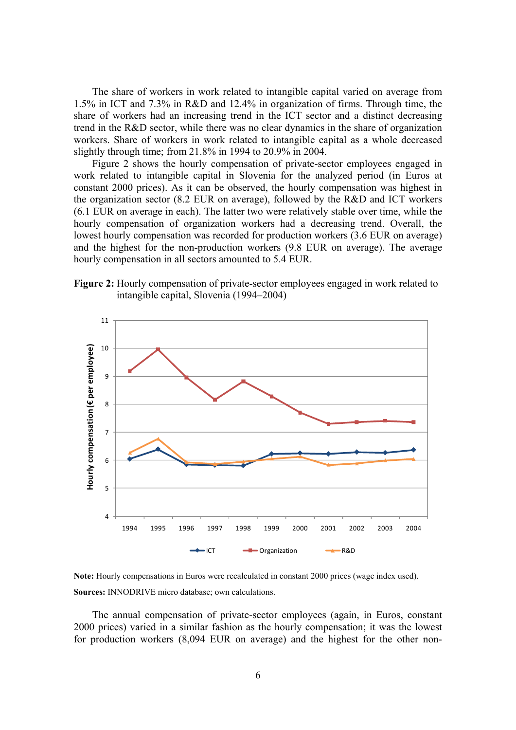The share of workers in work related to intangible capital varied on average from 1.5% in ICT and 7.3% in R&D and 12.4% in organization of firms. Through time, the share of workers had an increasing trend in the ICT sector and a distinct decreasing trend in the R&D sector, while there was no clear dynamics in the share of organization workers. Share of workers in work related to intangible capital as a whole decreased slightly through time; from 21.8% in 1994 to 20.9% in 2004.

 Figure 2 shows the hourly compensation of private-sector employees engaged in work related to intangible capital in Slovenia for the analyzed period (in Euros at constant 2000 prices). As it can be observed, the hourly compensation was highest in the organization sector (8.2 EUR on average), followed by the R&D and ICT workers (6.1 EUR on average in each). The latter two were relatively stable over time, while the hourly compensation of organization workers had a decreasing trend. Overall, the lowest hourly compensation was recorded for production workers (3.6 EUR on average) and the highest for the non-production workers (9.8 EUR on average). The average hourly compensation in all sectors amounted to 5.4 EUR.





**Note:** Hourly compensations in Euros were recalculated in constant 2000 prices (wage index used). **Sources:** INNODRIVE micro database; own calculations.

 The annual compensation of private-sector employees (again, in Euros, constant 2000 prices) varied in a similar fashion as the hourly compensation; it was the lowest for production workers (8,094 EUR on average) and the highest for the other non-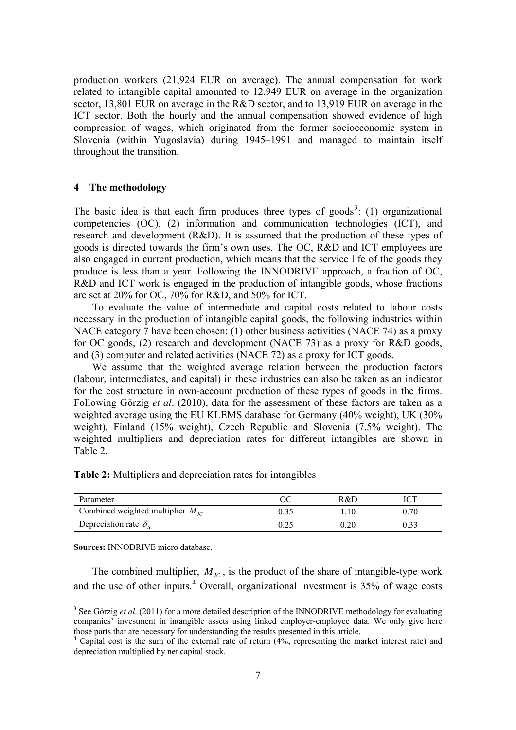production workers (21,924 EUR on average). The annual compensation for work related to intangible capital amounted to 12,949 EUR on average in the organization sector, 13,801 EUR on average in the R&D sector, and to 13,919 EUR on average in the ICT sector. Both the hourly and the annual compensation showed evidence of high compression of wages, which originated from the former socioeconomic system in Slovenia (within Yugoslavia) during 1945–1991 and managed to maintain itself throughout the transition.

#### **4 The methodology**

The basic idea is that each firm produces three types of goods<sup>[3](#page-9-0)</sup>: (1) organizational competencies (OC), (2) information and communication technologies (ICT), and research and development (R&D). It is assumed that the production of these types of goods is directed towards the firm's own uses. The OC, R&D and ICT employees are also engaged in current production, which means that the service life of the goods they produce is less than a year. Following the INNODRIVE approach, a fraction of OC, R&D and ICT work is engaged in the production of intangible goods, whose fractions are set at 20% for OC, 70% for R&D, and 50% for ICT.

 To evaluate the value of intermediate and capital costs related to labour costs necessary in the production of intangible capital goods, the following industries within NACE category 7 have been chosen: (1) other business activities (NACE 74) as a proxy for OC goods, (2) research and development (NACE 73) as a proxy for R&D goods, and (3) computer and related activities (NACE 72) as a proxy for ICT goods.

 We assume that the weighted average relation between the production factors (labour, intermediates, and capital) in these industries can also be taken as an indicator for the cost structure in own-account production of these types of goods in the firms. Following Görzig *et al*. (2010), data for the assessment of these factors are taken as a weighted average using the EU KLEMS database for Germany (40% weight), UK (30% weight), Finland (15% weight), Czech Republic and Slovenia (7.5% weight). The weighted multipliers and depreciation rates for different intangibles are shown in Table 2.

**Table 2:** Multipliers and depreciation rates for intangibles

| Parameter                             |      | R&D  |      |
|---------------------------------------|------|------|------|
| Combined weighted multiplier $M_{IC}$ | 0.35 | .10  | 0.70 |
| Depreciation rate $\delta_{\iota c}$  | 0.25 | 0.20 | 0.33 |

**Sources:** INNODRIVE micro database.

-

The combined multiplier,  $M_{IC}$ , is the product of the share of intangible-type work and the use of other inputs. $4$  Overall, organizational investment is 35% of wage costs

<span id="page-9-0"></span><sup>&</sup>lt;sup>3</sup> See Görzig *et al.* (2011) for a more detailed description of the INNODRIVE methodology for evaluating companies' investment in intangible assets using linked employer-employee data. We only give here those parts that are necessary for understanding the results presented in this article.

 $4$  Capital cost is the sum of the external rate of return  $(4\%$ , representing the market interest rate) and depreciation multiplied by net capital stock.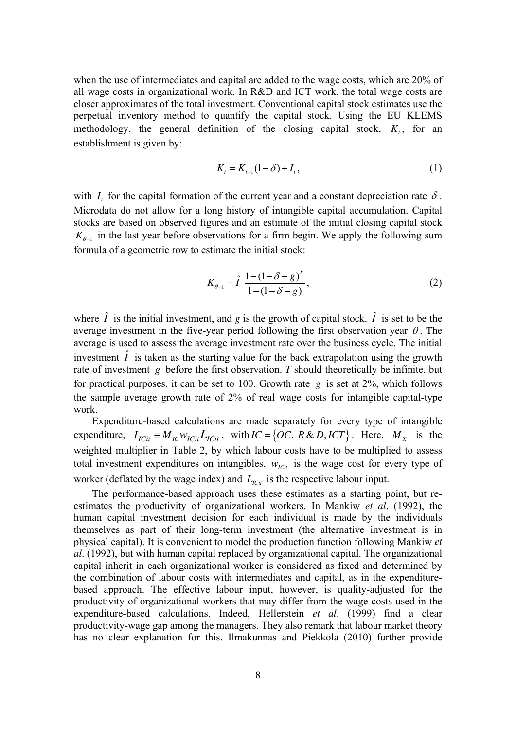when the use of intermediates and capital are added to the wage costs, which are 20% of all wage costs in organizational work. In R&D and ICT work, the total wage costs are closer approximates of the total investment. Conventional capital stock estimates use the perpetual inventory method to quantify the capital stock. Using the EU KLEMS methodology, the general definition of the closing capital stock,  $K_t$ , for an establishment is given by:

$$
K_t = K_{t-1}(1-\delta) + I_t, \tag{1}
$$

with  $I_t$  for the capital formation of the current year and a constant depreciation rate  $\delta$ . Microdata do not allow for a long history of intangible capital accumulation. Capital stocks are based on observed figures and an estimate of the initial closing capital stock  $K_{\theta-1}$  in the last year before observations for a firm begin. We apply the following sum formula of a geometric row to estimate the initial stock:

$$
K_{\theta-1} = \hat{I} \frac{1 - (1 - \delta - g)^T}{1 - (1 - \delta - g)},
$$
\n(2)

where  $\hat{I}$  is the initial investment, and *g* is the growth of capital stock.  $\hat{I}$  is set to be the average investment in the five-year period following the first observation year  $\theta$ . The average is used to assess the average investment rate over the business cycle. The initial investment  $\hat{I}$  is taken as the starting value for the back extrapolation using the growth rate of investment *g* before the first observation. *T* should theoretically be infinite, but for practical purposes, it can be set to 100. Growth rate *g* is set at 2%, which follows the sample average growth rate of 2% of real wage costs for intangible capital-type work.

 Expenditure-based calculations are made separately for every type of intangible expenditure,  $I_{ICit} = M_{IC} W_{ICit} L_{ICit}$ , with  $IC = \{OC, R & D, ICT\}$ . Here,  $M_X$  is the weighted multiplier in Table 2, by which labour costs have to be multiplied to assess worker (deflated by the wage index) and  $L_{\text{ICit}}$  is the respective labour input. total investment expenditures on intangibles,  $w_{\text{IC}i}$  is the wage cost for every type of

estimates the productivity of organizational workers. In Mankiw *et al.* (1992), the human capital investment decision for each individual is made by the individuals themselves as part of their long-term investment (the alternative investment is in productivity-wage gap among the managers. They also remark that labour market theory The performance-based approach uses these estimates as a starting point, but rephysical capital). It is convenient to model the production function following Mankiw *et al*. (1992), but with human capital replaced by organizational capital. The organizational capital inherit in each organizational worker is considered as fixed and determined by the combination of labour costs with intermediates and capital, as in the expenditurebased approach. The effective labour input, however, is quality-adjusted for the productivity of organizational workers that may differ from the wage costs used in the expenditure-based calculations. Indeed, Hellerstein *et al*. (1999) find a clear has no clear explanation for this. Ilmakunnas and Piekkola (2010) further provide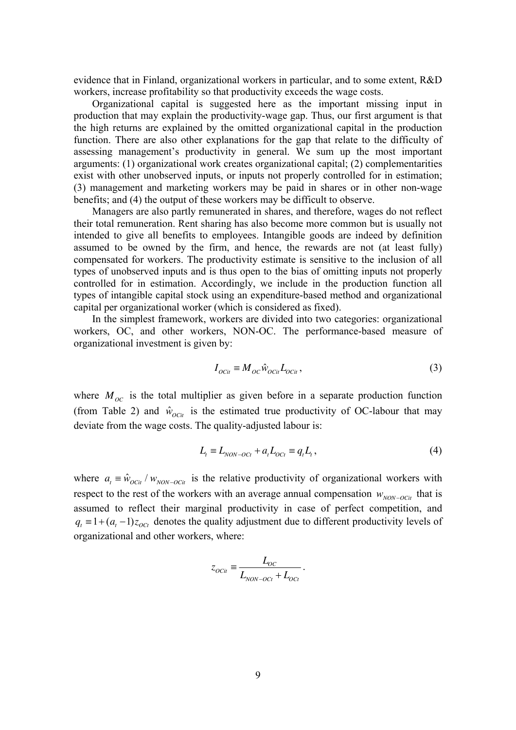evidence that in Finland, organizational workers in particular, and to some extent, R&D workers, increase profitability so that productivity exceeds the wage costs.

 Organizational capital is suggested here as the important missing input in production that may explain the productivity-wage gap. Thus, our first argument is that the high returns are explained by the omitted organizational capital in the production function. There are also other explanations for the gap that relate to the difficulty of assessing management's productivity in general. We sum up the most important arguments: (1) organizational work creates organizational capital; (2) complementarities exist with other unobserved inputs, or inputs not properly controlled for in estimation; (3) management and marketing workers may be paid in shares or in other non-wage benefits; and (4) the output of these workers may be difficult to observe.

types of unobserved inputs and is thus open to the bias of omitting inputs not properly Managers are also partly remunerated in shares, and therefore, wages do not reflect their total remuneration. Rent sharing has also become more common but is usually not intended to give all benefits to employees. Intangible goods are indeed by definition assumed to be owned by the firm, and hence, the rewards are not (at least fully) compensated for workers. The productivity estimate is sensitive to the inclusion of all controlled for in estimation. Accordingly, we include in the production function all types of intangible capital stock using an expenditure-based method and organizational capital per organizational worker (which is considered as fixed).

 In the simplest framework, workers are divided into two categories: organizational workers, OC, and other workers, NON-OC. The performance-based measure of organizational investment is given by:

$$
I_{ocit} \equiv M_{oc} \hat{w}_{ocit} L_{ocit}, \qquad (3)
$$

where  $M_{OC}$  is the total multiplier as given before in a separate production function (from Table 2) and  $\hat{w}_{0\text{C}t}$  is the estimated true productivity of OC-labour that may deviate from the wage costs. The quality-adjusted labour is:

$$
L_t \equiv L_{NON-OCt} + a_t L_{OCt} \equiv q_t L_t, \qquad (4)
$$

where  $a_t = \hat{w}_{octit} / w_{NON-occit}$  is the relative productivity of organizational workers with assumed to reflect their marginal productivity in case of perfect competition, and  $q_t = 1 + (a_t - 1)z_{oct}$  denotes the quality adjustment due to different productivity levels of organizational and other workers, where: respect to the rest of the workers with an average annual compensation  $w_{NON-OCit}$  that is

$$
z_{ocit} \equiv \frac{L_{oc}}{L_{non-oct} + L_{oct}}.
$$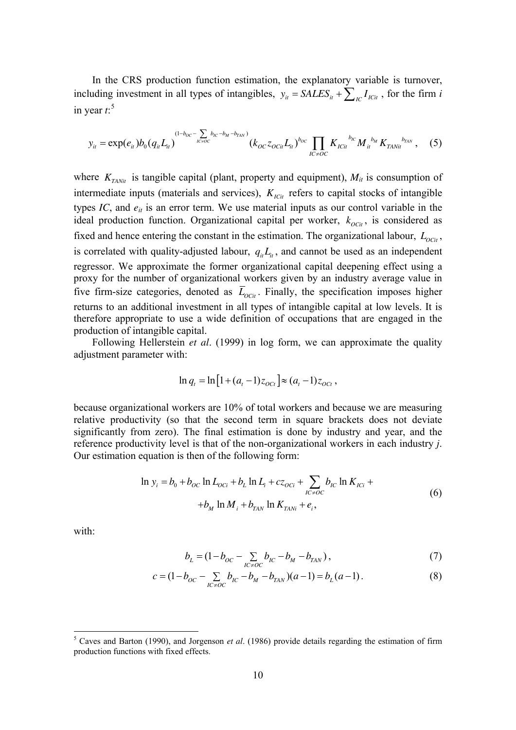including investment in all types of intangibles,  $y_{it} = SALES_{it} + \sum_{IC} I_{ICit}$ , for the firm *i* In the CRS production function estimation, the explanatory variable is turnover, in year  $t$ <sup>5</sup>

$$
y_{it} = \exp(e_{it})b_0(q_{it}L_{it})^{(1-b_{OC}-\sum_{IC\neq OC}b_{IC}-b_M-b_{TAN})}(k_{OC}z_{OCit}L_{it})^{b_{OC}}\prod_{IC\neq OC}K_{ICit}^{b_{IC}}M_{it}^{b_M}K_{TANit}^{b_{TAN}}\,,\quad (5)
$$

where  $K_{\text{TANit}}$  is tangible capital (plant, property and equipment),  $M_{it}$  is consumption of intermediate inputs (materials and services),  $K_{\text{IC}t}$  refers to capital stocks of intangible types *IC*, and  $e_i$  is an error term. We use material inputs as our control variable in the ideal production function. Organizational capital per worker,  $k_{OCl}$ , is considered as fixed and hence entering the constant in the estimation. The organizational labour,  $L_{OCH}$ , is correlated with quality-adjusted labour,  $q_{\mu}L_{\mu}$ , and cannot be used as an independent regressor. We approximate the former organizational capital deepening effect using a proxy for the number of organizational workers given by an industry average value in five firm-size categories, denoted as  $\overline{L}_{OCl}$ . Finally, the specification imposes higher returns to an additional investment in all types of intangible capital at low levels. It is therefore appropriate to use a wide definition of occupations that are engaged in the production of intangible capital.

Following Hellerstein *et al.* (1999) in log form, we can approximate the quality adjustment parameter with:

$$
\ln q_t = \ln \left[ 1 + (a_t - 1) z_{oct} \right] \approx (a_t - 1) z_{ Oct}
$$

because organizational workers are 10% of total workers and because we are measuring relative productivity (so that the second term in square brackets does not deviate significantly from zero). The final estimation is done by industry and year, and the reference productivity level is that of the non-organizational workers in each industry *j*. Our estimation equation is then of the following form:

$$
\ln y_i = b_0 + b_{OC} \ln L_{OCi} + b_L \ln L_i + cz_{OCi} + \sum_{IC \neq OC} b_{IC} \ln K_{ICi} ++ b_M \ln M_i + b_{TAN} \ln K_{TANi} + e_i,
$$
 (6)

<span id="page-12-0"></span>with:

$$
b_L = (1 - b_{OC} - \sum_{lC \neq OC} b_{lC} - b_M - b_{TAN}),
$$
\n(7)

$$
c = (1 - b_{OC} - \sum_{I \subset \neq OC} b_{IC} - b_M - b_{TAN})(a - 1) = b_L(a - 1).
$$
 (8)

 5 Caves and Barton (1990), and Jorgenson *et al*. (1986) provide details regarding the estimation of firm production functions with fixed effects.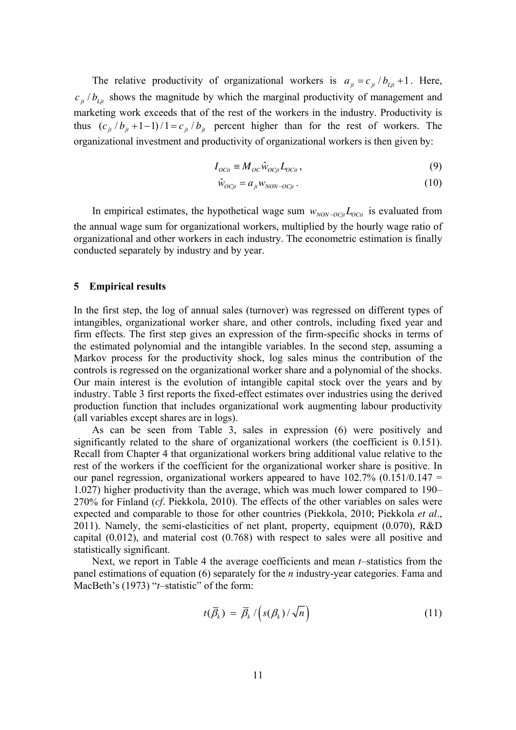The relative productivity of organizational workers is  $a_{it} = c_{it}/b_{it} + 1$ . Here,  $c_{i}$  /  $b_{i}$  shows the magnitude by which the marginal productivity of management and marketing work exceeds that of the rest of the workers in the industry. Productivity is organizational investment and productivity of organizational workers is then given by: thus  $(c_{j} / b_{j} + 1 - 1) / 1 = c_{j} / b_{j}$  percent higher than for the rest of workers. The

$$
I_{OCi} \equiv M_{OC} \hat{w}_{OCit} L_{OCit}, \qquad (9)
$$

$$
\hat{w}_{OCjt} = a_{it} w_{NON-OCjt} \,. \tag{10}
$$

In empirical estimates, the hypothetical wage sum  $w_{\text{NON-OC}j} L_{\text{OC}i}$  is evaluated from the annual wage sum for organizational workers, multiplied by the hourly wage ratio of organizational and other workers in each industry. The econometric estimation is finally conducted separately by industry and by year.

#### **5 Empirical results**

In the first step, the log of annual sales (turnover) was regressed on different types of intangibles, organizational worker share, and other controls, including fixed year and firm effects. The first step gives an expression of the firm-specific shocks in terms of the estimated polynomial and the intangible variables. In the second step, assuming a Markov process for the productivity shock, log sales minus the contribution of the controls is regressed on the organizational worker share and a polynomial of the shocks. Our main interest is the evolution of intangible capital stock over the years and by industry. Table 3 first reports the fixed-effect estimates over industries using the derived production function that includes organizational work augmenting labour productivity (all variables except shares are in logs).

our panel regression, organizational workers appeared to have  $102.7\%$  (0.151/0.147 = As can be seen from Table 3, sales in expression (6) were positively and significantly related to the share of organizational workers (the coefficient is 0.151). Recall from Chapter 4 that organizational workers bring additional value relative to the rest of the workers if the coefficient for the organizational worker share is positive. In 1.027) higher productivity than the average, which was much lower compared to 190– 270% for Finland (*cf*. Piekkola, 2010). The effects of the other variables on sales were expected and comparable to those for other countries (Piekkola, 2010; Piekkola *et al*., 2011). Namely, the semi-elasticities of net plant, property, equipment (0.070), R&D capital (0.012), and material cost (0.768) with respect to sales were all positive and statistically significant.

 Next, we report in Table 4 the average coefficients and mean *t*–statistics from the panel estimations of equation [\(6\)](#page-12-0) separately for the *n* industry-year categories. Fama and MacBeth's (1973) "*t*-statistic" of the form:

$$
t(\overline{\beta}_k) = \overline{\beta}_k / \left( s(\beta_k) / \sqrt{n} \right) \tag{11}
$$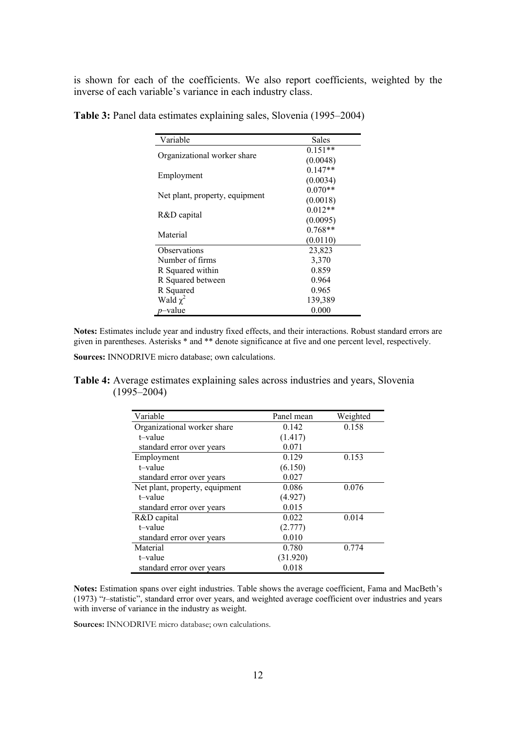is shown for each of the coefficients. We also report coefficients, weighted by the inverse of each variable's variance in each industry class.

| Variable                       | Sales     |
|--------------------------------|-----------|
|                                | $0.151**$ |
| Organizational worker share    | (0.0048)  |
|                                | $0.147**$ |
| Employment                     | (0.0034)  |
|                                | $0.070**$ |
| Net plant, property, equipment | (0.0018)  |
|                                | $0.012**$ |
| R&D capital                    | (0.0095)  |
| Material                       | $0.768**$ |
|                                | (0.0110)  |
| Observations                   | 23,823    |
| Number of firms                | 3,370     |
| R Squared within               | 0.859     |
| R Squared between              | 0.964     |
| R Squared                      | 0.965     |
| Wald $\chi^2$                  | 139,389   |
| p-value                        | 0.000     |

**able 3:** Panel data estimates explaining sales, Slovenia (1995–2004) **T**

Notes: Estimates include year and industry fixed effects, and their interactions. Robust standard errors are given in parentheses. Asterisks \* and \*\* denote significance at five and one percent level, respectively.

Sources: INNODRIVE micro database; own calculations.

**Table 4:** Average estimates explaining sales across industries and years, Slovenia (1995–2004)

| Variable                       | Panel mean | Weighted |
|--------------------------------|------------|----------|
| Organizational worker share    | 0.142      | 0.158    |
| t-value                        | (1.417)    |          |
| standard error over years      | 0.071      |          |
| Employment                     | 0.129      | 0.153    |
| t-value                        | (6.150)    |          |
| standard error over years      | 0.027      |          |
| Net plant, property, equipment | 0.086      | 0.076    |
| t-value                        | (4.927)    |          |
| standard error over years      | 0.015      |          |
| R&D capital                    | 0.022      | 0.014    |
| t-value                        | (2.777)    |          |
| standard error over years      | 0.010      |          |
| Material                       | 0.780      | 0.774    |
| t-value                        | (31.920)   |          |
| standard error over years      | 0.018      |          |

Notes: Estimation spans over eight industries. Table shows the average coefficient, Fama and MacBeth's (1973) "*t*–statistic", standard error over years, and weighted average coefficient over industries and years with inverse of variance in the industry as weight.

Sources: INNODRIVE micro database; own calculations.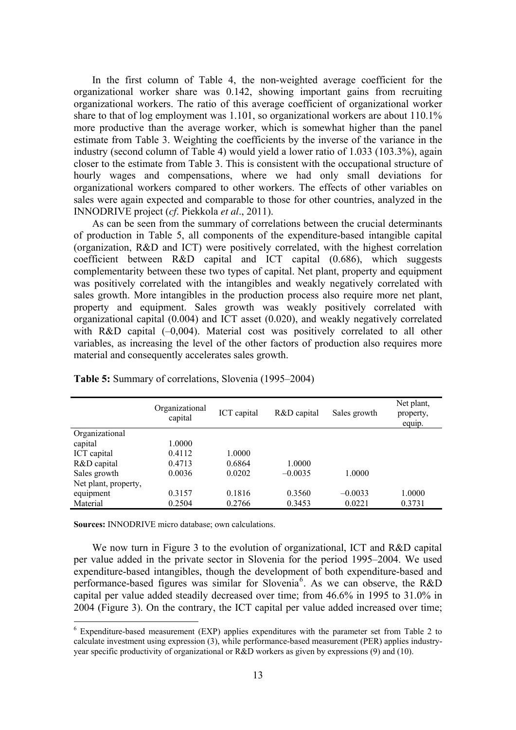In the first column of Table 4, the non-weighted average coefficient for the organizational worker share was 0.142, showing important gains from recruiting organizational workers. The ratio of this average coefficient of organizational worker share to that of log employment was  $1.101$ , so organizational workers are about  $110.1\%$ more productive than the average worker, which is somewhat higher than the panel estimate from Table 3. Weighting the coefficients by the inverse of the variance in the industry (second column of Table 4) would yield a lower ratio of 1.033 (103.3%), again closer to the estimate from Table 3. This is consistent with the occupational structure of hourly wages and compensations, where we had only small deviations for organizational workers compared to other workers. The effects of other variables on sales were again expected and comparable to those for other countries, analyzed in the INNODRIVE project (*cf*. Piekkola *et al*., 2011).

complementarity between these two types of capital. Net plant, property and equipment As can be seen from the summary of correlations between the crucial determinants of production in Table 5, all components of the expenditure-based intangible capital (organization, R&D and ICT) were positively correlated, with the highest correlation coefficient between R&D capital and ICT capital (0.686), which suggests was positively correlated with the intangibles and weakly negatively correlated with sales growth. More intangibles in the production process also require more net plant, property and equipment. Sales growth was weakly positively correlated with organizational capital (0.004) and ICT asset (0.020), and weakly negatively correlated with R&D capital  $(-0.004)$ . Material cost was positively correlated to all other variables, as increasing the level of the other factors of production also requires more material and consequently accelerates sales growth.

|                      | Organizational<br>capital | ICT capital | R&D capital | Sales growth | Net plant,<br>property,<br>equip. |
|----------------------|---------------------------|-------------|-------------|--------------|-----------------------------------|
| Organizational       |                           |             |             |              |                                   |
| capital              | 1.0000                    |             |             |              |                                   |
| ICT capital          | 0.4112                    | 1.0000      |             |              |                                   |
| R&D capital          | 0.4713                    | 0.6864      | 1.0000      |              |                                   |
| Sales growth         | 0.0036                    | 0.0202      | $-0.0035$   | 1.0000       |                                   |
| Net plant, property, |                           |             |             |              |                                   |
| equipment            | 0.3157                    | 0.1816      | 0.3560      | $-0.0033$    | 1.0000                            |
| Material             | 0.2504                    | 0.2766      | 0.3453      | 0.0221       | 0.3731                            |

**Table 5:** Summary of correlations, Slovenia (1995–2004)

Sources: INNODRIVE micro database; own calculations.

We now turn in Figure 3 to the evolution of organizational, ICT and R&D capital per value added in the private sector in Slovenia for the period 1995–2004. We used xpenditure-based intangibles, though the development of both expenditure-based and e performance-based figures was similar for Slovenia<sup>6</sup>. As we can observe, the R&D apital per value added steadily decreased over time; from 46.6% in 1995 to 31.0% in c 2004 (Figure 3). On the contrary, the ICT capital per value added increased over time;

Expenditure-based measurement (EXP) applies expenditures with the parameter set from Table 2 to calculate investment using expression (3), while performance-based measurement (PER) applies industryyear specific productivity of organizational or R&D workers as given by expressions (9) and (10).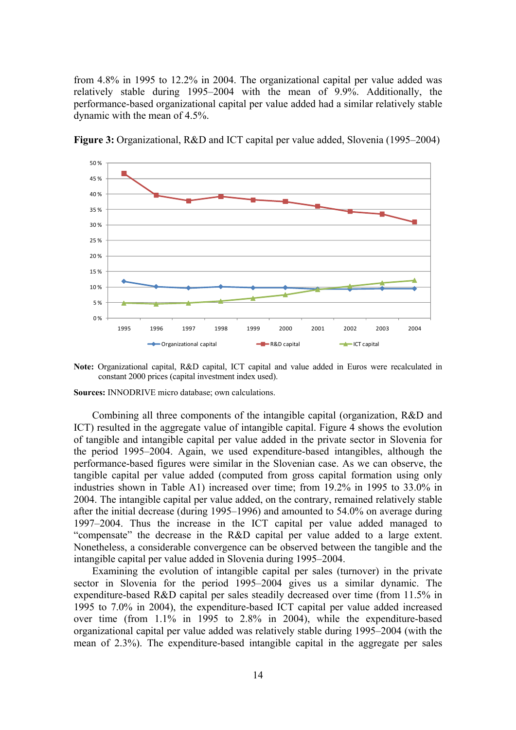from 4.8% in 1995 to 12.2% in 2004. The organizational capital per value added was relatively stable during 1995–2004 with the mean of 9.9%. Additionally, the performance-based organizational capital per value added had a similar relatively stable dynamic with the mean of 4.5%.



**Figure 3:** Organizational, R&D and ICT capital per value added, Slovenia (1995–2004)

**Note:** Organizational capital, R&D capital, ICT capital and value added in Euros were recalculated in constant 2000 prices (capital investment index used).

Sources: INNODRIVE micro database; own calculations.

Combining all three components of the intangible capital (organization, R&D and ICT) resulted in the aggregate value of intangible capital. Figure 4 shows the evolution of tangible and intangible capital per value added in the private sector in Slovenia for the period 1995–2004. Again, we used expenditure-based intangibles, although the performance-based figures were similar in the Slovenian case. As we can observe, the tangible capital per value added (computed from gross capital formation using only industries shown in Table A1) increased over time; from 19.2% in 1995 to 33.0% in 2004. The intangible capital per value added, on the contrary, remained relatively stable after the initial decrease (during 1995–1996) and amounted to 54.0% on average during 1997–2004. Thus the increase in the ICT capital per value added managed to "compensate" the decrease in the R&D capital per value added to a large extent. Nonetheless, a considerable convergence can be observed between the tangible and the intangible capital per value added in Slovenia during 1995–2004.

expenditure-based R&D capital per sales steadily decreased over time (from 11.5% in 1995 to 7.0% in 2004), the expenditure-based ICT capital per value added increased over time (from 1.1% in 1995 to 2.8% in 2004), while the expenditure-based Examining the evolution of intangible capital per sales (turnover) in the private sector in Slovenia for the period 1995–2004 gives us a similar dynamic. The organizational capital per value added was relatively stable during 1995–2004 (with the mean of 2.3%). The expenditure-based intangible capital in the aggregate per sales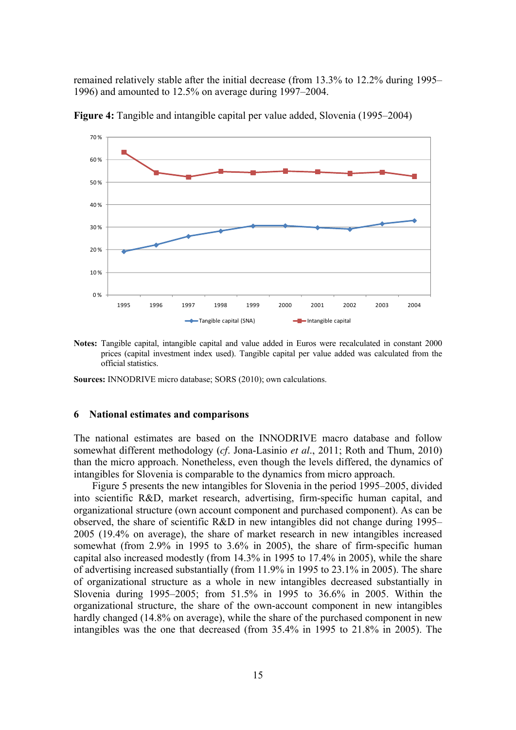remained relatively stable after the initial decrease (from 13.3% to 12.2% during 1995– 1996) and amounted to 12.5% on average during 1997–2004.



**Figure 4:** Tangible and intangible capital per value added, Slovenia (1995–2004)

**Notes:** Tangible capital, intangible capital and value added in Euros were recalculated in constant 2000 prices (capital investment index used). Tangible capital per value added was calculated from the official statistics.

**Sources:** INNODRIVE micro database; SORS (2010); own calculations.

#### **National estimates and comparisons 6**

The n ational estimates are based on the INNODRIVE macro database and follow somewhat different methodology (*cf*. Jona-Lasinio *et al*., 2011; Roth and Thum, 2010) than the micro approach. Nonetheless, even though the levels differed, the dynamics of intangibles for Slovenia is comparable to the dynamics from micro approach.

Figure 5 presents the new intangibles for Slovenia in the period 1995–2005, divided into scientific R&D, market research, advertising, firm-specific human capital, and organizational structure (own account component and purchased component). As can be capital also increased modestly (from  $14.3\%$  in 1995 to 17.4% in 2005), while the share observed, the share of scientific R&D in new intangibles did not change during 1995– 2005 (19.4% on average), the share of market research in new intangibles increased somewhat (from 2.9% in 1995 to 3.6% in 2005), the share of firm-specific human of advertising increased substantially (from 11.9% in 1995 to 23.1% in 2005). The share of organizational structure as a whole in new intangibles decreased substantially in Slovenia during 1995–2005; from 51.5% in 1995 to 36.6% in 2005. Within the organizational structure, the share of the own-account component in new intangibles hardly changed (14.8% on average), while the share of the purchased component in new intangibles was the one that decreased (from 35.4% in 1995 to 21.8% in 2005). The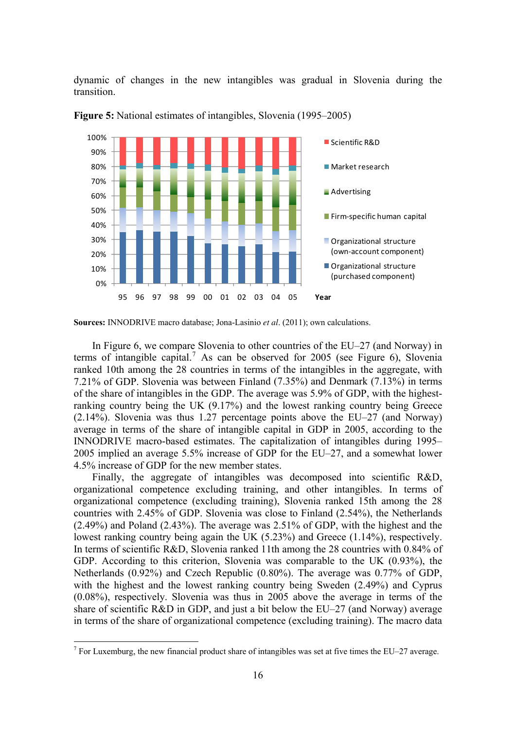dynamic of changes in the new intangibles was gradual in Slovenia during the transition.



**Figure 5:** National estimates of intangibles, Slovenia (1995–2005)

 In Figure 6, we compare Slovenia to other countries of the EU–27 (and Norway) in terms of intangible capital.<sup>7</sup> As can be observed for 2005 (see Figure 6), Slovenia ranked 10th among the 28 countries in terms of the intangibles in the aggregate, with 7.21% of GDP. Slovenia was between Finland (7.35%) and Denmark (7.13%) in terms 7.21% of GDP. Slovenia was between Finland (7.35%) and Denmark (7.13%) in terms of the share of intangibles in the GDP. The average was  $5.9%$  of GDP, with the highestranking country being the UK (9.17%) and the lowest ranking country being Greece (2.14%). Slovenia was thus 1.27 percentage points above the EU–27 (and Norway) average in terms of the share of intangible capital in GDP in 2005, according to the INNODRIVE macro-based estimates. The capitalization of intangibles during 1995– 2005 implied an average 5.5% increase of GDP for the EU–27, and a somewhat lower 4.5% increase of GDP for the new member states.

lowest ranking country being again the UK  $(5.23\%)$  and Greece  $(1.14\%)$ , respectively. Finally, the aggregate of intangibles was decomposed into scientific R&D, organizational competence excluding training, and other intangibles. In terms of organizational competence (excluding training), Slovenia ranked 15th among the 28 countries with 2.45% of GDP. Slovenia was close to Finland (2.54%), the Netherlands (2.49%) and Poland (2.43%). The average was 2.51% of GDP, with the highest and the In terms of scientific R&D, Slovenia ranked 11th among the 28 countries with 0.84% of GDP. According to this criterion, Slovenia was comparable to the UK (0.93%), the Netherlands (0.92%) and Czech Republic (0.80%). The average was 0.77% of GDP, with the highest and the lowest ranking country being Sweden (2.49%) and Cyprus (0.08%), respectively. Slovenia was thus in 2005 above the average in terms of the share of scientific R&D in GDP, and just a bit below the EU–27 (and Norway) average in terms of the share of organizational competence (excluding training). The macro data

<u>.</u>

**Sources:** INNODRIVE macro database; Jona-Lasinio *et al*. (2011); own calculations.

<sup>&</sup>lt;sup>7</sup> For Luxemburg, the new financial product share of intangibles was set at five times the EU–27 average.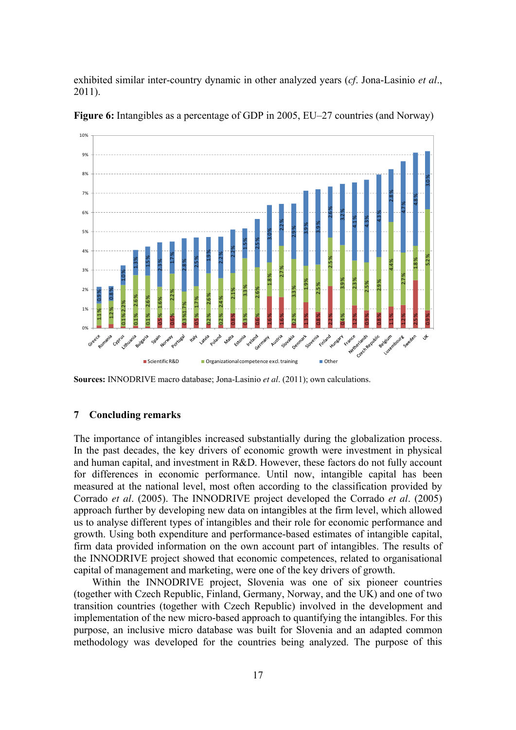exhibited similar inter-country dynamic in other analyzed years (*cf*. Jona-Lasinio *et al*., 2011).



**Figure 6:** Intangibles as a percentage of GDP in 2005, EU–27 countries (and Norway)

**Sources:** INNODRIVE macro database; Jona-Lasinio *et al*. (2011); own calculations.

### **7 Concluding remarks**

The importance of intangibles increased substantially during the globalization process. In the past decades, the key drivers of economic growth were investment in physical and human capital, and investment in R&D. However, these factors do not fully account for differences in economic performance. Until now, intangible capital has been measured at the national level, most often according to the classification provided by Corrado *et al.* (2005). The INNODRIVE project developed the Corrado *et al.* (2005) approach further by developing new data on intangibles at the firm level, which allowed us to analyse different types of intangibles and their role for economic performance and growth. Using both expenditure and performance-based estimates of intangible capital, firm data provided information on the own account part of intangibles. The results of the INNODRIVE project showed that economic competences, related to organisational capital of management and marketing, were one of the key drivers of growth.

methodology was developed for the countries being analyzed. The purpose of this Within the INNODRIVE project, Slovenia was one of six pioneer countries (together with Czech Republic, Finland, Germany, Norway, and the UK) and one of two transition countries (together with Czech Republic) involved in the development and implementation of the new micro-based approach to quantifying the intangibles. For this purpose, an inclusive micro database was built for Slovenia and an adapted common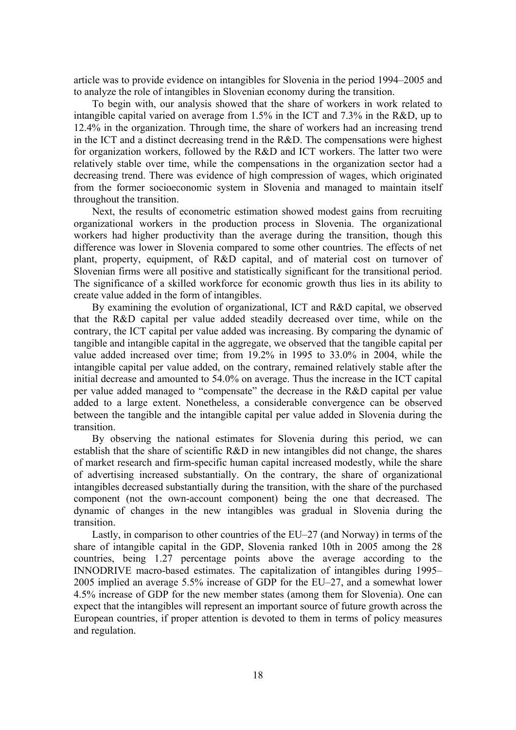article was to provide evidence on intangibles for Slovenia in the period 1994–2005 and to analyze the role of intangibles in Slovenian economy during the transition.

 To begin with, our analysis showed that the share of workers in work related to intangible capital varied on average from 1.5% in the ICT and 7.3% in the R&D, up to 12.4% in the organization. Through time, the share of workers had an increasing trend in the ICT and a distinct decreasing trend in the R&D. The compensations were highest for organization workers, followed by the R&D and ICT workers. The latter two were relatively stable over time, while the compensations in the organization sector had a decreasing trend. There was evidence of high compression of wages, which originated from the former socioeconomic system in Slovenia and managed to maintain itself throughout the transition.

Slovenian firms were all positive and statistically significant for the transitional period. Next, the results of econometric estimation showed modest gains from recruiting organizational workers in the production process in Slovenia. The organizational workers had higher productivity than the average during the transition, though this difference was lower in Slovenia compared to some other countries. The effects of net plant, property, equipment, of R&D capital, and of material cost on turnover of The significance of a skilled workforce for economic growth thus lies in its ability to create value added in the form of intangibles.

intangible capital per value added, on the contrary, remained relatively stable after the By examining the evolution of organizational, ICT and R&D capital, we observed that the R&D capital per value added steadily decreased over time, while on the contrary, the ICT capital per value added was increasing. By comparing the dynamic of tangible and intangible capital in the aggregate, we observed that the tangible capital per value added increased over time; from 19.2% in 1995 to 33.0% in 2004, while the initial decrease and amounted to 54.0% on average. Thus the increase in the ICT capital per value added managed to "compensate" the decrease in the R&D capital per value added to a large extent. Nonetheless, a considerable convergence can be observed between the tangible and the intangible capital per value added in Slovenia during the transition.

component (not the own-account component) being the one that decreased. The By observing the national estimates for Slovenia during this period, we can establish that the share of scientific R&D in new intangibles did not change, the shares of market research and firm-specific human capital increased modestly, while the share of advertising increased substantially. On the contrary, the share of organizational intangibles decreased substantially during the transition, with the share of the purchased dynamic of changes in the new intangibles was gradual in Slovenia during the transition.

4.5% increase of GDP for the new member states (among them for Slovenia). One can Lastly, in comparison to other countries of the EU–27 (and Norway) in terms of the share of intangible capital in the GDP, Slovenia ranked 10th in 2005 among the 28 countries, being 1.27 percentage points above the average according to the INNODRIVE macro-based estimates. The capitalization of intangibles during 1995– 2005 implied an average 5.5% increase of GDP for the EU–27, and a somewhat lower expect that the intangibles will represent an important source of future growth across the European countries, if proper attention is devoted to them in terms of policy measures and regulation.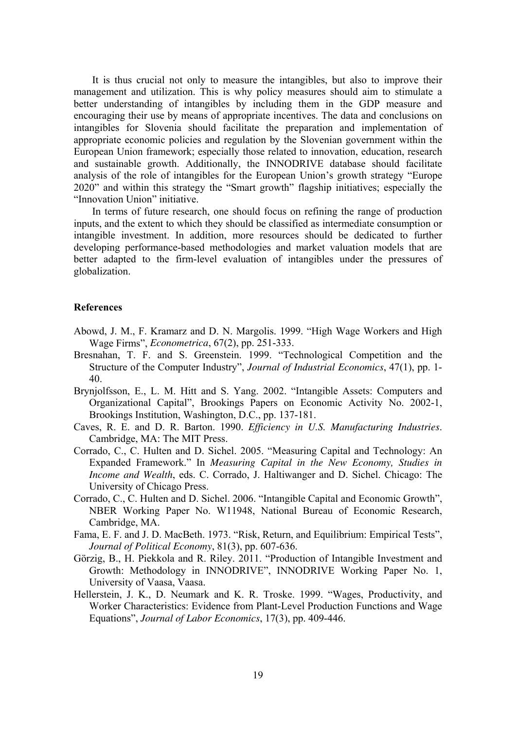It is thus crucial not only to measure the intangibles, but also to improve their management and utilization. This is why policy measures should aim to stimulate a better understanding of intangibles by including them in the GDP measure and encouraging their use by means of appropriate incentives. The data and conclusions on intangibles for Slovenia should facilitate the preparation and implementation of appropriate economic policies and regulation by the Slovenian government within the European Union framework; especially those related to innovation, education, research and sustainable growth. Additionally, the INNODRIVE database should facilitate analysis of the role of intangibles for the European Union's growth strategy "Europe 2020" and within this strategy the "Smart growth" flagship initiatives; especially the "Innovation Union" initiative.

better adapted to the firm-level evaluation of intangibles under the pressures of In terms of future research, one should focus on refining the range of production inputs, and the extent to which they should be classified as intermediate consumption or intangible investment. In addition, more resources should be dedicated to further developing performance-based methodologies and market valuation models that are globalization.

#### **References**

- Abowd, J. M., F. Kramarz and D. N. Margolis. 1999. "High Wage Workers and High Wage Firms", *Econometrica*, 67(2), pp. 251-333.
- Bresnahan, T. F. and S. Greenstein. 1999. "Technological Competition and the Structure of the Computer Industry", *Journal of Industrial Economics*, 47(1), pp. 1-40.
- Organizational Capital", Brookings Papers on Economic Activity No. 2002-1, Brynjolfsson, E., L. M. Hitt and S. Yang. 2002. "Intangible Assets: Computers and Brookings Institution, Washington, D.C., pp. 137-181.
- Cav es, R. E. and D. R. Barton. 1990. *Efficiency in U.S. Manufacturing Industries*. Cambridge, MA: The MIT Press.
- *Income and Wealth*, eds. C. Corrado, J. Haltiwanger and D. Sichel. Chicago: The Corrado, C., C. Hulten and D. Sichel. 2005. "Measuring Capital and Technology: An Expanded Framework." In *Measuring Capital in the New Economy, Studies in*  University of Chicago Press.
- Corrado, C., C. Hulten and D. Sichel. 2006. "Intangible Capital and Economic Growth", NBER Working Paper No. W11948, National Bureau of Economic Research, Cambridge, MA.
- Fama, E. F. and J. D. MacBeth. 1973. "Risk, Return, and Equilibrium: Empirical Tests", *Journal of Political Economy*, 81(3), pp. 607-636.
- University of Vaasa, Vaasa. Görzig, B., H. Piekkola and R. Riley. 2011. "Production of Intangible Investment and Growth: Methodology in INNODRIVE", INNODRIVE Working Paper No. 1,
- Worker Characteristics: Evidence from Plant-Level Production Functions and Wage Hellerstein, J. K., D. Neumark and K. R. Troske. 1999. "Wages, Productivity, and Equations", *Journal of Labor Economics*, 17(3), pp. 409-446.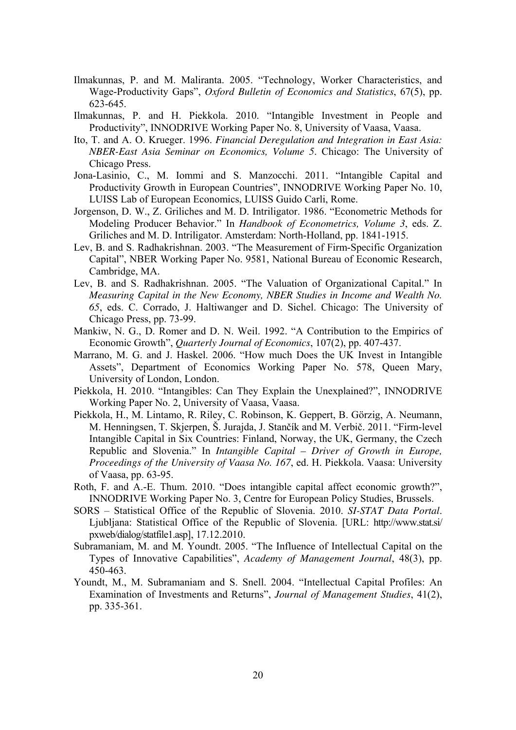- Ilmakunnas, P. and M. Maliranta. 2005. "Technology, Worker Characteristics, and Wage-Productivity Gaps", *Oxford Bulletin of Economics and Statistics*, 67(5), pp. 623-645.
- Ilmakunnas, P. and H. Piekkola. 2010. "Intangible Investment in People and Productivity", INNODRIVE Working Paper No. 8, University of Vaasa, Vaasa.
- Ito, T. and A. O. Krueger. 1996. *Financial Deregulation and Integration in East Asia: NBER-East Asia Seminar on Economics, Volume 5*. Chicago: The University of Chicago Press.
- LUISS Lab of European Economics, LUISS Guido Carli, Rome. Jona-Lasinio, C., M. Iommi and S. Manzocchi. 2011. "Intangible Capital and Productivity Growth in European Countries", INNODRIVE Working Paper No. 10,
- Griliches and M. D. Intriligator. Amsterdam: North-Holland, pp. 1841-1915. Jorgenson, D. W., Z. Griliches and M. D. Intriligator. 1986. "Econometric Methods for Modeling Producer Behavior." In *Handbook of Econometrics, Volume 3*, eds. Z.
- Lev, B. and S. Radhakrishnan. 2003. "The Measurement of Firm-Specific Organization Capital", NBER Working Paper No. 9581, National Bureau of Economic Research, Cambridge, MA.
- 65, eds. C. Corrado, J. Haltiwanger and D. Sichel. Chicago: The University of Lev, B. and S. Radhakrishnan. 2005. "The Valuation of Organizational Capital." In *Measuring Capital in the New Economy, NBER Studies in Income and Wealth No.*  Chicago Press, pp. 73-99.
- Ma nkiw, N. G., D. Romer and D. N. Weil. 1992. "A Contribution to the Empirics of Economic Growth", *Quarterly Journal of Economics*, 107(2), pp. 407-437.
- Marrano, M. G. and J. Haskel. 2006. "How much Does the UK Invest in Intangible Assets", Department of Economics Working Paper No. 578, Queen Mary, University of London, London.
- Piekkola, H. 2010. "Intangibles: Can They Explain the Unexplained?", INNODRIVE Working Paper No. 2, University of Vaasa, Vaasa.
- Piekkola, H., M. Lintamo, R. Riley, C. Robinson, K. Geppert, B. Görzig, A. Neumann, Intangible Capital in Six Countries: Finland, Norway, the UK, Germany, the Czech M. Henningsen, T. Skjerpen, Š. Jurajda, J. Stančík and M. Verbič. 2011. "Firm-level Republic and Slovenia." In *Intangible Capital – Driver of Growth in Europe, Proceedings of the University of Vaasa No. 167*, ed. H. Piekkola. Vaasa: University of Vaasa, pp. 63-95.
- Ro th, F. and A.-E. Thum. 2010. "Does intangible capital affect economic growth?", INNODRIVE Working Paper No. 3, Centre for European Policy Studies, Brussels.
- SORS Statistical Office of the Republic of Slovenia. 2010. *SI-STAT Data Portal*. Ljubljana: Statistical Office of the Republic of Slovenia. [URL: http://www.stat.si/ pxweb/dialog/statfile1.asp], 17.12.2010.
- Subramaniam, M. and M. Youndt. 2005. "The Influence of Intellectual Capital on the Types of Innovative Capabilities", *Academy of Management Journal*, 48(3), pp. 450-463.
- pp. 335-361. Youndt, M., M. Subramaniam and S. Snell. 2004. "Intellectual Capital Profiles: An Examination of Investments and Returns", *Journal of Management Studies*, 41(2),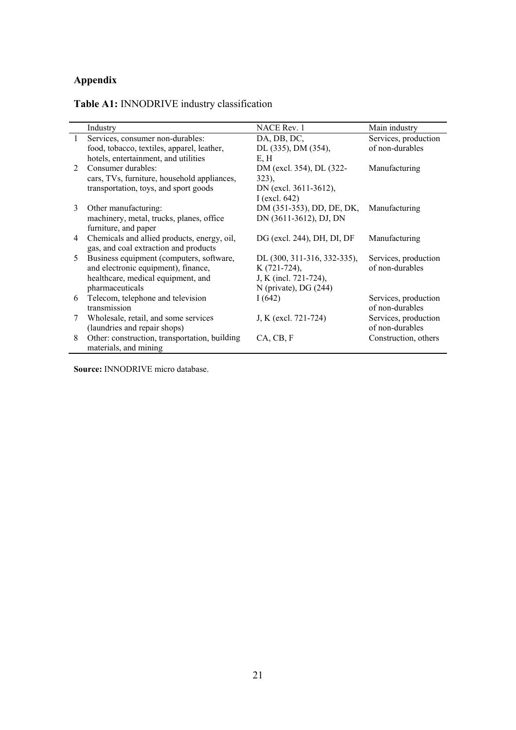### **Appendix**

#### Table A1: INNODRIVE industry classification

|                             | Industry                                      | <b>NACE Rev. 1</b>                      | Main industry        |
|-----------------------------|-----------------------------------------------|-----------------------------------------|----------------------|
| $\mathbf{1}$                | Services, consumer non-durables:              | DA, DB, DC,                             | Services, production |
|                             | food, tobacco, textiles, apparel, leather,    | DL (335), DM (354),                     | of non-durables      |
|                             | hotels, entertainment, and utilities          | E, H                                    |                      |
| $\mathcal{D}_{\mathcal{L}}$ | Consumer durables:                            | DM (excl. 354), DL (322-                | Manufacturing        |
|                             | cars, TVs, furniture, household appliances,   | $323$ ,                                 |                      |
|                             | transportation, toys, and sport goods         | DN (excl. 3611-3612),                   |                      |
|                             |                                               | I (excl. $642$ )                        |                      |
| 3                           | Other manufacturing:                          | DM (351-353), DD, DE, DK, Manufacturing |                      |
|                             | machinery, metal, trucks, planes, office      | DN (3611-3612), DJ, DN                  |                      |
|                             | furniture, and paper                          |                                         |                      |
| 4                           | Chemicals and allied products, energy, oil,   | DG (excl. 244), DH, DI, DF              | Manufacturing        |
|                             | gas, and coal extraction and products         |                                         |                      |
| 5                           | Business equipment (computers, software,      | DL (300, 311-316, 332-335),             | Services, production |
|                             | and electronic equipment), finance,           | K (721-724),                            | of non-durables      |
|                             | healthcare, medical equipment, and            | J, K (incl. 721-724),                   |                      |
|                             | pharmaceuticals                               | $N$ (private), DG $(244)$               |                      |
| 6                           | Telecom, telephone and television             | I(642)                                  | Services, production |
|                             | transmission                                  |                                         | of non-durables      |
| 7                           | Wholesale, retail, and some services          | J, K (excl. 721-724)                    | Services, production |
|                             | (laundries and repair shops)                  |                                         | of non-durables      |
| 8                           | Other: construction, transportation, building | CA, CB, F                               | Construction, others |
|                             | materials, and mining                         |                                         |                      |

**Source:** INNODRIVE micro database.